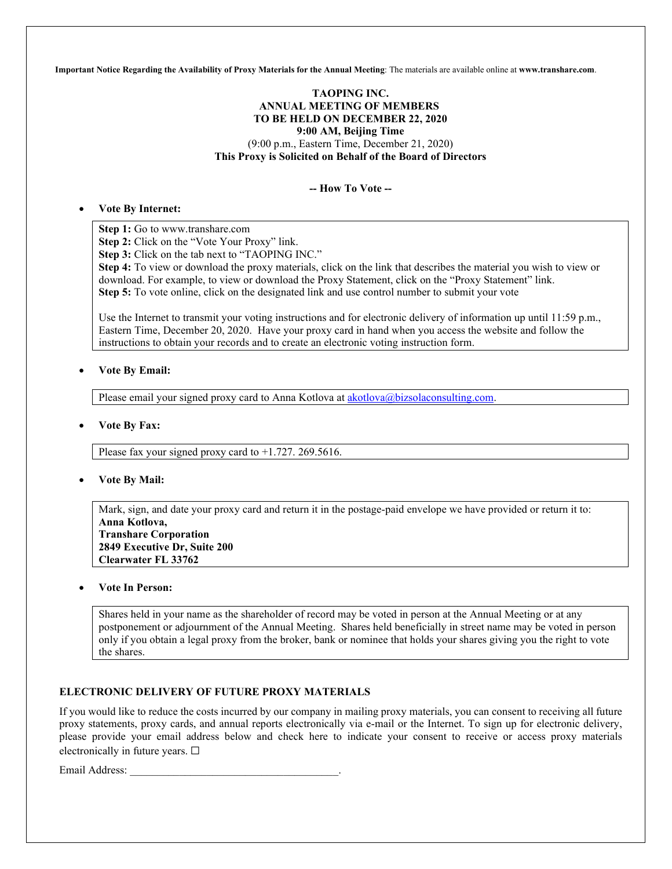**Important Notice Regarding the Availability of Proxy Materials for the Annual Meeting**: The materials are available online at **www.transhare.com**.

# **TAOPING INC. ANNUAL MEETING OF MEMBERS TO BE HELD ON DECEMBER 22, 2020 9:00 AM, Beijing Time**  (9:00 p.m., Eastern Time, December 21, 2020) **This Proxy is Solicited on Behalf of the Board of Directors**

**-- How To Vote --**

# • **Vote By Internet:**

**Step 1:** Go to www.transhare.com

**Step 2:** Click on the "Vote Your Proxy" link.

**Step 3:** Click on the tab next to "TAOPING INC."

**Step 4:** To view or download the proxy materials, click on the link that describes the material you wish to view or download. For example, to view or download the Proxy Statement, click on the "Proxy Statement" link. **Step 5:** To vote online, click on the designated link and use control number to submit your vote

Use the Internet to transmit your voting instructions and for electronic delivery of information up until 11:59 p.m., Eastern Time, December 20, 2020. Have your proxy card in hand when you access the website and follow the instructions to obtain your records and to create an electronic voting instruction form.

# • **Vote By Email:**

Please email your signed proxy card to Anna Kotlova at **akotlova@bizsolaconsulting.com**.

#### • **Vote By Fax:**

Please fax your signed proxy card to +1.727. 269.5616.

#### • **Vote By Mail:**

Mark, sign, and date your proxy card and return it in the postage-paid envelope we have provided or return it to: **Anna Kotlova, Transhare Corporation 2849 Executive Dr, Suite 200** 

**Clearwater FL 33762**

# • **Vote In Person:**

Shares held in your name as the shareholder of record may be voted in person at the Annual Meeting or at any postponement or adjournment of the Annual Meeting. Shares held beneficially in street name may be voted in person only if you obtain a legal proxy from the broker, bank or nominee that holds your shares giving you the right to vote the shares.

# **ELECTRONIC DELIVERY OF FUTURE PROXY MATERIALS**

If you would like to reduce the costs incurred by our company in mailing proxy materials, you can consent to receiving all future proxy statements, proxy cards, and annual reports electronically via e-mail or the Internet. To sign up for electronic delivery, please provide your email address below and check here to indicate your consent to receive or access proxy materials electronically in future years.  $\Box$ 

Email Address: